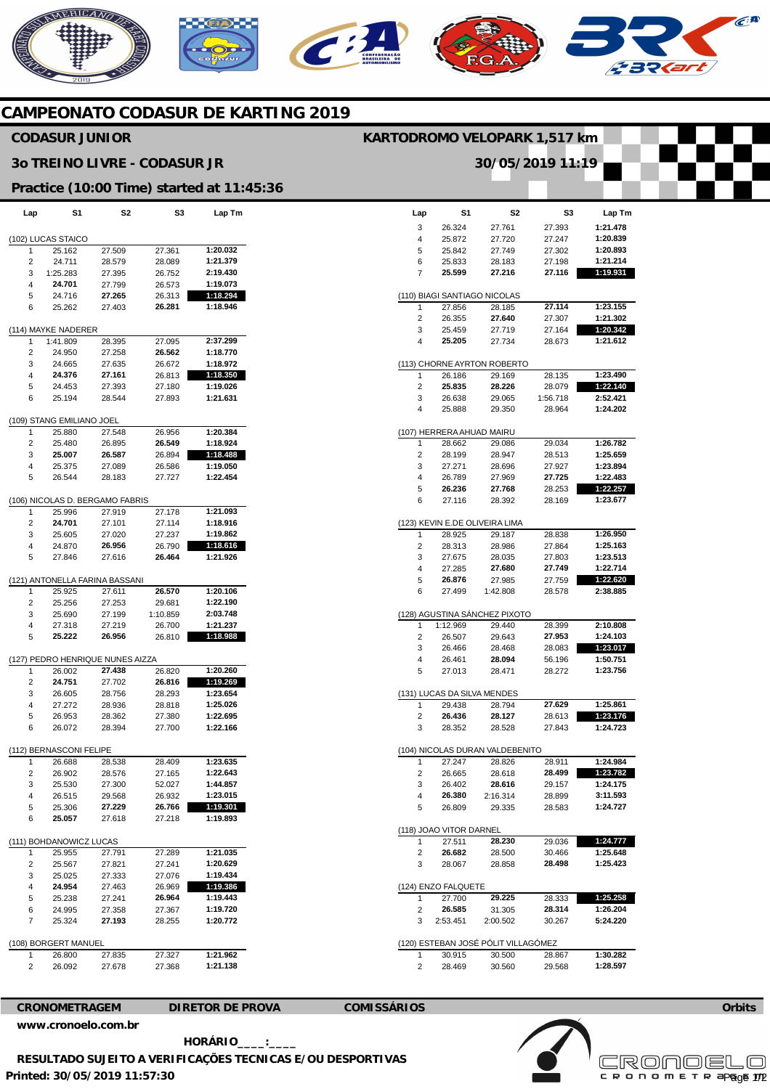# AERICANO

# **CAMPEONATO CODASUR DE KARTING 2019**

## **CODASUR JUNIOR**

### **3o TREINO LIVRE - CODASUR JR**

#### **Practice (10:00 Time) started at 11:45:36**

| Lap                     | S1                                   | S2               | S3               | Lap Tm               |  |  |
|-------------------------|--------------------------------------|------------------|------------------|----------------------|--|--|
| (102) LUCAS STAICO      |                                      |                  |                  |                      |  |  |
| 1                       | 25.162                               | 27.509           | 27.361           | 1:20.032             |  |  |
| 2                       | 24.711                               | 28.579           | 28.089           | 1:21.379             |  |  |
| 3                       | 1:25.283                             | 27.395           | 26.752           | 2:19.430             |  |  |
| 4                       | 24.701                               | 27.799           | 26.573           | 1:19.073             |  |  |
| 5                       | 24.716                               | 27.265           | 26.313           | 1:18.294             |  |  |
| 6                       | 25.262                               | 27.403           | 26.281           | 1:18.946             |  |  |
|                         | (114) MAYKE NADERER                  |                  |                  |                      |  |  |
| 1                       | 1:41.809                             | 28.395           | 27.095           | 2:37.299             |  |  |
| 2                       | 24.950                               | 27.258           | 26.562           | 1:18.770<br>1:18.972 |  |  |
| 3<br>4                  | 24.665<br>24.376                     | 27.635<br>27.161 | 26.672<br>26.813 | 1:18.350             |  |  |
| 5                       | 24.453                               | 27.393           | 27.180           | 1:19.026             |  |  |
| 6                       | 25.194                               | 28.544           | 27.893           | 1:21.631             |  |  |
| (109)                   |                                      |                  |                  |                      |  |  |
| 1                       | <b>STANG EMILIANO JOEL</b><br>25.880 | 27.548           | 26.956           | 1:20.384             |  |  |
| 2                       | 25.480                               | 26.895           | 26.549           | 1:18.924             |  |  |
| 3                       | 25.007                               | 26.587           | 26.894           | 1:18.488             |  |  |
| 4                       | 25.375                               | 27.089           | 26.586           | 1:19.050             |  |  |
| 5                       | 26.544                               | 28.183           | 27.727           | 1:22.454             |  |  |
|                         | (106) NICOLAS D. BERGAMO FABRIS      |                  |                  |                      |  |  |
| 1                       | 25.996                               | 27.919           | 27.178           | 1:21.093             |  |  |
| 2                       | 24.701                               | 27.101           | 27.114           | 1:18.916             |  |  |
| 3                       | 25.605                               | 27.020           | 27.237           | 1:19.862             |  |  |
| 4                       | 24.870                               | 26.956           | 26.790           | 1:18.616             |  |  |
| 5                       | 27.846                               | 27.616           | 26.464           | 1:21.926             |  |  |
|                         | (121) ANTONELLA FARINA BASSANI       |                  |                  |                      |  |  |
| 1                       | 25.925                               | 27.611           | 26.570           | 1:20.106             |  |  |
| 2                       | 25.256                               | 27.253           | 29.681           | 1:22.190             |  |  |
| 3                       | 25.690                               | 27.199           | 1:10.859         | 2:03.748             |  |  |
| 4                       | 27.318                               | 27.219           | 26.700           | 1:21.237             |  |  |
| 5                       | 25.222                               | 26.956           | 26.810           | 1:18.988             |  |  |
|                         | (127) PEDRO HENRIQUE NUNES AIZZA     |                  |                  |                      |  |  |
| 1                       | 26.002                               | 27.438           | 26.820           | 1:20.260             |  |  |
| $\overline{c}$          | 24.751                               | 27.702           | 26.816           | 1:19.269             |  |  |
| 3                       | 26.605                               | 28.756           | 28.293           | 1:23.654             |  |  |
| 4<br>5                  | 27.272<br>26.953                     | 28.936<br>28.362 | 28.818<br>27.380 | 1:25.026<br>1:22.695 |  |  |
| 6                       | 26.072                               | 28.394           | 27.700           | 1:22.166             |  |  |
|                         |                                      |                  |                  |                      |  |  |
|                         | (112) BERNASCONI FELIPE              |                  |                  |                      |  |  |
| 1<br>2                  | 26.688<br>26.902                     | 28.538<br>28.576 | 28.409<br>27.165 | 1:23.635<br>1:22.643 |  |  |
| 3                       | 25.530                               | 27.300           | 52.027           | 1:44.857             |  |  |
| 4                       | 26.515                               | 29.568           | 26.932           | 1:23.015             |  |  |
| 5                       | 25.306                               | 27.229           | 26.766           | 1:19.301             |  |  |
| 6                       | 25.057                               | 27.618           | 27.218           | 1:19.893             |  |  |
| (111) BOHDANOWICZ LUCAS |                                      |                  |                  |                      |  |  |
| 1                       | 25.955                               | 27.791           | 27.289           | 1:21.035             |  |  |
| 2                       | 25.567                               | 27.821           | 27.241           | 1:20.629             |  |  |
| 3                       | 25.025                               | 27.333           | 27.076           | 1:19.434             |  |  |
| 4                       | 24.954                               | 27.463           | 26.969           | 1:19.386             |  |  |
| 5<br>6                  | 25.238                               | 27.241<br>27.358 | 26.964           | 1:19.443<br>1:19.720 |  |  |
| 7                       | 24.995<br>25.324                     | 27.193           | 27.367<br>28.255 | 1:20.772             |  |  |
|                         |                                      |                  |                  |                      |  |  |
|                         | (108) BORGERT MANUEL                 |                  |                  |                      |  |  |
| 1                       | 26.800                               | 27.835           | 27.327           | 1:21.962             |  |  |
| 2                       | 26.092                               | 27.678           | 27.368           | 1:21.138             |  |  |

|                |                                   | 30/05/2019 11:19                              |                  |                      |
|----------------|-----------------------------------|-----------------------------------------------|------------------|----------------------|
|                |                                   |                                               |                  |                      |
| Lap            | S1                                | S2                                            | S3               | Lap Tm               |
| 3              | 26.324                            | 27.761                                        | 27.393           | 1:21.478             |
| 4              | 25.872                            | 27.720                                        | 27.247           | 1:20.839             |
| 5              | 25.842                            | 27.749                                        | 27.302           | 1:20.893             |
| 6              | 25.833                            | 28.183                                        | 27.198           | 1:21.214             |
| 7              | 25.599                            | 27.216                                        | 27.116           | 1:19.931             |
|                | (110) BIAGI SANTIAGO NICOLAS      |                                               |                  |                      |
| 1<br>2         | 27.856                            | 28.185<br>27.640                              | 27.114           | 1:23.155<br>1:21.302 |
| 3              | 26.355<br>25.459                  | 27.719                                        | 27.307<br>27.164 | 1:20.342             |
| 4              | 25.205                            | 27.734                                        | 28.673           | 1:21.612             |
|                |                                   | (113) CHORNE AYRTON ROBERTO                   |                  |                      |
| 1              | 26.186                            | 29.169                                        | 28.135           | 1:23.490             |
| 2              | 25.835                            | 28.226                                        | 28.079           | 1:22.140             |
| 3              | 26.638                            | 29.065                                        | 1:56.718         | 2:52.421             |
| 4              | 25.888                            | 29.350                                        | 28.964           | 1:24.202             |
|                | (107) HERRERA AHUAD MAIRU         |                                               |                  |                      |
| 1              | 28.662                            | 29.086                                        | 29.034           | 1:26.782             |
| 2<br>3         | 28.199                            | 28.947                                        | 28.513           | 1:25.659<br>1:23.894 |
| 4              | 27.271<br>26.789                  | 28.696<br>27.969                              | 27.927<br>27.725 | 1:22.483             |
| 5              | 26.236                            | 27.768                                        | 28.253           | 1:22.257             |
| 6              | 27.116                            | 28.392                                        | 28.169           | 1:23.677             |
|                |                                   |                                               |                  |                      |
| 1              | 28.925                            | (123) KEVIN E.DE OLIVEIRA LIMA<br>29.187      | 28.838           | 1:26.950             |
| 2              | 28.313                            | 28.986                                        | 27.864           | 1:25.163             |
| 3              | 27.675                            | 28.035                                        | 27.803           | 1:23.513             |
| 4              | 27.285                            | 27.680                                        | 27.749           | 1:22.714             |
| 5              | 26.876                            | 27.985                                        | 27.759           | 1:22.620             |
| 6              | 27.499                            | 1:42.808                                      | 28.578           | 2:38.885             |
|                |                                   | 128) AGUSTINA SÁNCHEZ PIXOTO                  |                  |                      |
| 1              | 1:12.969                          | 29.440                                        | 28.399<br>27.953 | 2:10.808<br>1:24.103 |
| 2<br>3         | 26.507<br>26.466                  | 29.643<br>28.468                              | 28.083           | 1:23.017             |
| 4              | 26.461                            | 28.094                                        | 56.196           | 1:50.751             |
| 5              | 27.013                            | 28.471                                        | 28.272           | 1:23.756             |
|                | (131) LUCAS DA SILVA MENDES       |                                               |                  |                      |
| 1              | 29.438                            | 28.794                                        | 27.629           | 1:25.861             |
| 2              | 26.436                            | 28.127                                        | 28.613           | 1:23.176             |
| 3              | 28.352                            | 28.528                                        | 27.843           | 1:24.723             |
|                |                                   | (104) NICOLAS DURAN VALDEBENITO               |                  |                      |
| 1              | 27.247                            | 28.826                                        | 28.911           | 1:24.984             |
| 2<br>3         | 26.665                            | 28.618                                        | 28.499<br>29.157 | 1:23.782<br>1:24.175 |
| 4              | 26.402<br>26.380                  | 28.616<br>2:16.314                            | 28.899           | 3:11.593             |
| 5              | 26.809                            | 29.335                                        | 28.583           | 1:24.727             |
|                |                                   |                                               |                  |                      |
| 1              | (118) JOAO VITOR DARNEL<br>27.511 | 28.230                                        | 29.036           | 1:24.777             |
| 2              | 26.682                            | 28.500                                        | 30.466           | 1:25.648             |
| 3              | 28.067                            | 28.858                                        | 28.498           | 1:25.423             |
|                | (124) ENZO FALQUETE               |                                               |                  |                      |
| 1              | 27.700                            | 29.225                                        | 28.333           | 1:25.258             |
| 2<br>3         | 26.585<br>2:53.451                | 31.305<br>2:00.502                            | 28.314<br>30.267 | 1:26.204<br>5:24.220 |
|                |                                   |                                               |                  |                      |
| 1              | 30.915                            | (120) ESTEBAN JOSÉ PÓLIT VILLAGÓMEZ<br>30.500 | 28.867           | 1:30.282             |
| $\overline{2}$ | 28.469                            | 30.560                                        | 29.568           | 1:28.597             |
|                |                                   |                                               |                  |                      |

**KARTODROMO VELOPARK 1,517 km** 

**[www.cronoelo.com.br](http://www.cronoelo.com.br)** 

**CRONOMETRAGEM DIRETOR DE PROVA COMISSÁRIOS** 



**Orbits** 

 $\widehat{C}^{A}$ 

**Printed: 30/05/2019 11:57:30 HORÁRIO\_\_\_\_:\_\_\_\_ RESULTADO SUJEITO A VERIFICAÇÕES TECNICAS E/OU DESPORTIVAS** 

**Licensed to: Cronoelo**  CRONOMETR<sup>apg</sup>g<sup>E</sup> 172